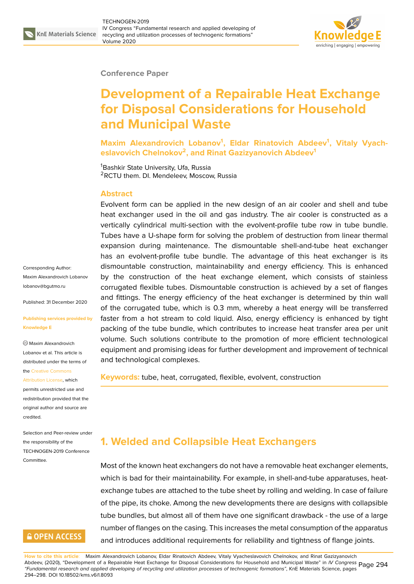

#### **Conference Paper**

# **Development of a Repairable Heat Exchange for Disposal Considerations for Household and Municipal Waste**

**Maxim Alexandrovich Lobanov<sup>1</sup> , Eldar Rinatovich Abdeev<sup>1</sup> , Vitaly Vyacheslavovich Chelnokov<sup>2</sup> , and Rinat Gazizyanovich Abdeev<sup>1</sup>**

<sup>1</sup>Bashkir State University, Ufa, Russia <sup>2</sup>RCTU them. DI. Mendeleev, Moscow, Russia

#### **Abstract**

Evolvent form can be applied in the new design of an air cooler and shell and tube heat exchanger used in the oil and gas industry. The air cooler is constructed as a vertically cylindrical multi-section with the evolvent-profile tube row in tube bundle. Tubes have a U-shape form for solving the problem of destruction from linear thermal expansion during maintenance. The dismountable shell-and-tube heat exchanger has an evolvent-profile tube bundle. The advantage of this heat exchanger is its dismountable construction, maintainability and energy efficiency. This is enhanced by the construction of the heat exchange element, which consists of stainless corrugated flexible tubes. Dismountable construction is achieved by a set of flanges and fittings. The energy efficiency of the heat exchanger is determined by thin wall of the corrugated tube, which is 0.3 mm, whereby a heat energy will be transferred faster from a hot stream to cold liquid. Also, energy efficiency is enhanced by tight packing of the tube bundle, which contributes to increase heat transfer area per unit volume. Such solutions contribute to the promotion of more efficient technological equipment and promising ideas for further development and improvement of technical and technological complexes.

**Keywords:** tube, heat, corrugated, flexible, evolvent, construction

# **1. Welded and Collapsible Heat Exchangers**

Most of the known heat exchangers do not have a removable heat exchanger elements, which is bad for their maintainability. For example, in shell-and-tube apparatuses, heatexchange tubes are attached to the tube sheet by rolling and welding. In case of failure of the pipe, its choke. Among the new developments there are designs with collapsible tube bundles, but almost all of them have one significant drawback - the use of a large number of flanges on the casing. This increases the metal consumption of the apparatus and introduces additional requirements for reliability and tightness of flange joints.

**How to cite this article**: Maxim Alexandrovich Lobanov, Eldar Rinatovich Abdeev, Vitaly Vyacheslavovich Chelnokov, and Rinat Gazizyanovich Abdeev, (2020), "Development of a Repairable Heat Exchange for Disposal Considerations for Household and Municipal Waste" in *IV Congress* Page 294 *"Fundamental research and applied developing of recycling and utilization processes of technogenic formations"*, KnE Materials Science, pages 294–298. DOI 10.18502/kms.v6i1.8093

Corresponding Author: Maxim Alexandrovich Lobanov lobanov@bgutmo.ru

Published: 31 December 2020

#### **[Publishing services](mailto:lobanov@bgutmo.ru) provided by Knowledge E**

Maxim Alexandrovich Lobanov et al. This article is distributed under the terms of

the Creative Commons

Attribution License, which permits unrestricted use and redistribution provided that the orig[inal author and sou](https://creativecommons.org/licenses/by/4.0/)rce are [credited.](https://creativecommons.org/licenses/by/4.0/)

Selection and Peer-review under the responsibility of the TECHNOGEN-2019 Conference Committee.

### **GOPEN ACCESS**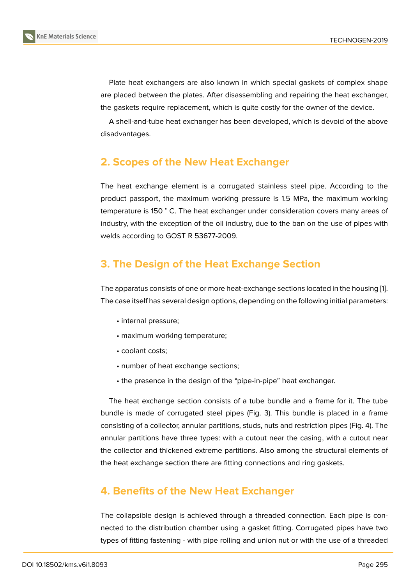Plate heat exchangers are also known in which special gaskets of complex shape are placed between the plates. After disassembling and repairing the heat exchanger, the gaskets require replacement, which is quite costly for the owner of the device.

A shell-and-tube heat exchanger has been developed, which is devoid of the above disadvantages.

### **2. Scopes of the New Heat Exchanger**

The heat exchange element is a corrugated stainless steel pipe. According to the product passport, the maximum working pressure is 1.5 MPa, the maximum working temperature is 150 <sup>∘</sup> C. The heat exchanger under consideration covers many areas of industry, with the exception of the oil industry, due to the ban on the use of pipes with welds according to GOST R 53677-2009.

## **3. The Design of the Heat Exchange Section**

The apparatus consists of one or more heat-exchange sections located in the housing [1]. The case itself has several design options, depending on the following initial parameters:

- internal pressure;
- maximum working temperature;
- coolant costs;
- number of heat exchange sections;
- the presence in the design of the "pipe-in-pipe" heat exchanger.

The heat exchange section consists of a tube bundle and a frame for it. The tube bundle is made of corrugated steel pipes (Fig. 3). This bundle is placed in a frame consisting of a collector, annular partitions, studs, nuts and restriction pipes (Fig. 4). The annular partitions have three types: with a cutout near the casing, with a cutout near the collector and thickened extreme partitions. Also among the structural elements of the heat exchange section there are fitting connections and ring gaskets.

### **4. Benefits of the New Heat Exchanger**

The collapsible design is achieved through a threaded connection. Each pipe is connected to the distribution chamber using a gasket fitting. Corrugated pipes have two types of fitting fastening - with pipe rolling and union nut or with the use of a threaded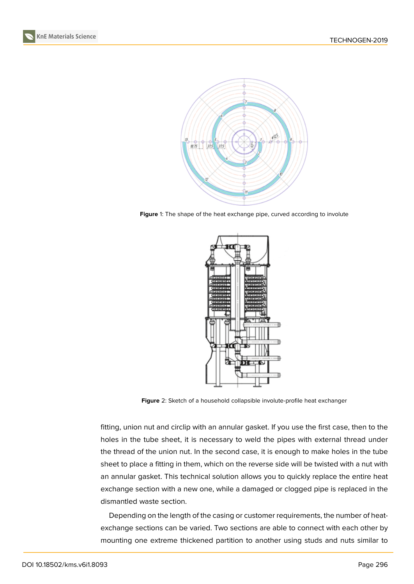



**Figure** 1: The shape of the heat exchange pipe, curved according to involute



**Figure** 2: Sketch of a household collapsible involute-profile heat exchanger

fitting, union nut and circlip with an annular gasket. If you use the first case, then to the holes in the tube sheet, it is necessary to weld the pipes with external thread under the thread of the union nut. In the second case, it is enough to make holes in the tube sheet to place a fitting in them, which on the reverse side will be twisted with a nut with an annular gasket. This technical solution allows you to quickly replace the entire heat exchange section with a new one, while a damaged or clogged pipe is replaced in the dismantled waste section.

Depending on the length of the casing or customer requirements, the number of heatexchange sections can be varied. Two sections are able to connect with each other by mounting one extreme thickened partition to another using studs and nuts similar to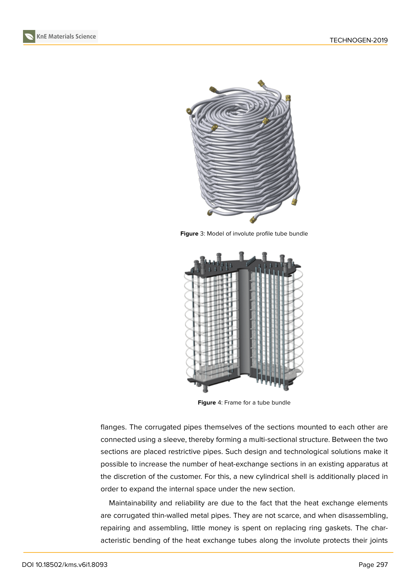



**Figure** 3: Model of involute profile tube bundle



**Figure** 4: Frame for a tube bundle

flanges. The corrugated pipes themselves of the sections mounted to each other are connected using a sleeve, thereby forming a multi-sectional structure. Between the two sections are placed restrictive pipes. Such design and technological solutions make it possible to increase the number of heat-exchange sections in an existing apparatus at the discretion of the customer. For this, a new cylindrical shell is additionally placed in order to expand the internal space under the new section.

Maintainability and reliability are due to the fact that the heat exchange elements are corrugated thin-walled metal pipes. They are not scarce, and when disassembling, repairing and assembling, little money is spent on replacing ring gaskets. The characteristic bending of the heat exchange tubes along the involute protects their joints